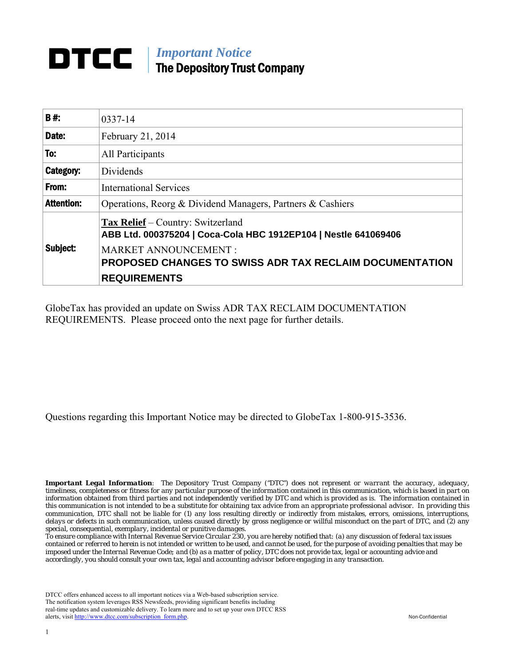# *Important Notice* The Depository Trust Company

| <b>B#</b>         | 0337-14                                                                                                                                                                                                                             |  |
|-------------------|-------------------------------------------------------------------------------------------------------------------------------------------------------------------------------------------------------------------------------------|--|
| Date:             | February 21, 2014                                                                                                                                                                                                                   |  |
| To:               | All Participants                                                                                                                                                                                                                    |  |
| Category:         | Dividends                                                                                                                                                                                                                           |  |
| From:             | <b>International Services</b>                                                                                                                                                                                                       |  |
| <b>Attention:</b> | Operations, Reorg & Dividend Managers, Partners & Cashiers                                                                                                                                                                          |  |
| Subject:          | <b>Tax Relief</b> – Country: Switzerland<br>ABB Ltd. 000375204   Coca-Cola HBC 1912EP104   Nestle 641069406<br><b>MARKET ANNOUNCEMENT:</b><br><b>PROPOSED CHANGES TO SWISS ADR TAX RECLAIM DOCUMENTATION</b><br><b>REQUIREMENTS</b> |  |

GlobeTax has provided an update on Swiss ADR TAX RECLAIM DOCUMENTATION REQUIREMENTS. Please proceed onto the next page for further details.

Questions regarding this Important Notice may be directed to GlobeTax 1-800-915-3536.

*Important Legal Information: The Depository Trust Company ("DTC") does not represent or warrant the accuracy, adequacy, timeliness, completeness or fitness for any particular purpose of the information contained in this communication, which is based in part on information obtained from third parties and not independently verified by DTC and which is provided as is. The information contained in this communication is not intended to be a substitute for obtaining tax advice from an appropriate professional advisor. In providing this communication, DTC shall not be liable for (1) any loss resulting directly or indirectly from mistakes, errors, omissions, interruptions, delays or defects in such communication, unless caused directly by gross negligence or willful misconduct on the part of DTC, and (2) any special, consequential, exemplary, incidental or punitive damages.*

*To ensure compliance with Internal Revenue Service Circular 230, you are hereby notified that: (a) any discussion of federal tax issues contained or referred to herein is not intended or written to be used, and cannot be used, for the purpose of avoiding penalties that may be imposed under the Internal Revenue Code; and (b) as a matter of policy, DTC does not provide tax, legal or accounting advice and accordingly, you should consult your own tax, legal and accounting advisor before engaging in any transaction.*

DTCC offers enhanced access to all important notices via a Web-based subscription service. The notification system leverages RSS Newsfeeds, providing significant benefits including real-time updates and customizable delivery. To learn more and to set up your own DTCC RSS alerts, visit [http://www.dtcc.com/subscription\\_form.php.](http://www.dtcc.com/subscription_form.php) Non-Confidential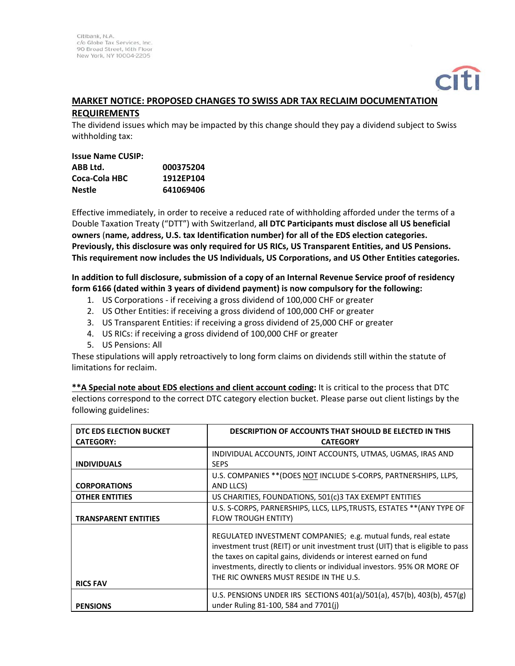### **MARKET NOTICE: PROPOSED CHANGES TO SWISS ADR TAX RECLAIM DOCUMENTATION REQUIREMENTS**

The dividend issues which may be impacted by this change should they pay a dividend subject to Swiss withholding tax:

| <b>Issue Name CUSIP:</b> |           |
|--------------------------|-----------|
| ABB Ltd.                 | 000375204 |
| Coca-Cola HBC            | 1912EP104 |
| <b>Nestle</b>            | 641069406 |
|                          |           |

Effective immediately, in order to receive a reduced rate of withholding afforded under the terms of a Double Taxation Treaty ("DTT") with Switzerland, **all DTC Participants must disclose all US beneficial owners** (**name, address, U.S. tax Identification number) for all of the EDS election categories. Previously, this disclosure was only required for US RICs, US Transparent Entities, and US Pensions. This requirement now includes the US Individuals, US Corporations, and US Other Entities categories.** 

**In addition to full disclosure, submission of a copy of an Internal Revenue Service proof of residency form 6166 (dated within 3 years of dividend payment) is now compulsory for the following:**

- 1. US Corporations ‐ if receiving a gross dividend of 100,000 CHF or greater
- 2. US Other Entities: if receiving a gross dividend of 100,000 CHF or greater
- 3. US Transparent Entities: if receiving a gross dividend of 25,000 CHF or greater
- 4. US RICs: if receiving a gross dividend of 100,000 CHF or greater
- 5. US Pensions: All

These stipulations will apply retroactively to long form claims on dividends still within the statute of limitations for reclaim.

**\*\*A Special note about EDS elections and client account coding:** It is critical to the process that DTC elections correspond to the correct DTC category election bucket. Please parse out client listings by the following guidelines:

| DTC EDS ELECTION BUCKET<br><b>CATEGORY:</b> | <b>DESCRIPTION OF ACCOUNTS THAT SHOULD BE ELECTED IN THIS</b><br><b>CATEGORY</b>                                                                                                                                                                                                                                                            |
|---------------------------------------------|---------------------------------------------------------------------------------------------------------------------------------------------------------------------------------------------------------------------------------------------------------------------------------------------------------------------------------------------|
| <b>INDIVIDUALS</b>                          | INDIVIDUAL ACCOUNTS, JOINT ACCOUNTS, UTMAS, UGMAS, IRAS AND<br><b>SEPS</b>                                                                                                                                                                                                                                                                  |
| <b>CORPORATIONS</b>                         | U.S. COMPANIES ** (DOES NOT INCLUDE S-CORPS, PARTNERSHIPS, LLPS,<br>AND LLCS)                                                                                                                                                                                                                                                               |
| <b>OTHER ENTITIES</b>                       | US CHARITIES, FOUNDATIONS, 501(c)3 TAX EXEMPT ENTITIES                                                                                                                                                                                                                                                                                      |
| <b>TRANSPARENT ENTITIES</b>                 | U.S. S-CORPS, PARNERSHIPS, LLCS, LLPS, TRUSTS, ESTATES ** (ANY TYPE OF<br><b>FLOW TROUGH ENTITY)</b>                                                                                                                                                                                                                                        |
| <b>RICS FAV</b>                             | REGULATED INVESTMENT COMPANIES; e.g. mutual funds, real estate<br>investment trust (REIT) or unit investment trust (UIT) that is eligible to pass<br>the taxes on capital gains, dividends or interest earned on fund<br>investments, directly to clients or individual investors. 95% OR MORE OF<br>THE RIC OWNERS MUST RESIDE IN THE U.S. |
| <b>PENSIONS</b>                             | U.S. PENSIONS UNDER IRS SECTIONS 401(a)/501(a), 457(b), 403(b), 457(g)<br>under Ruling 81-100, 584 and 7701(i)                                                                                                                                                                                                                              |